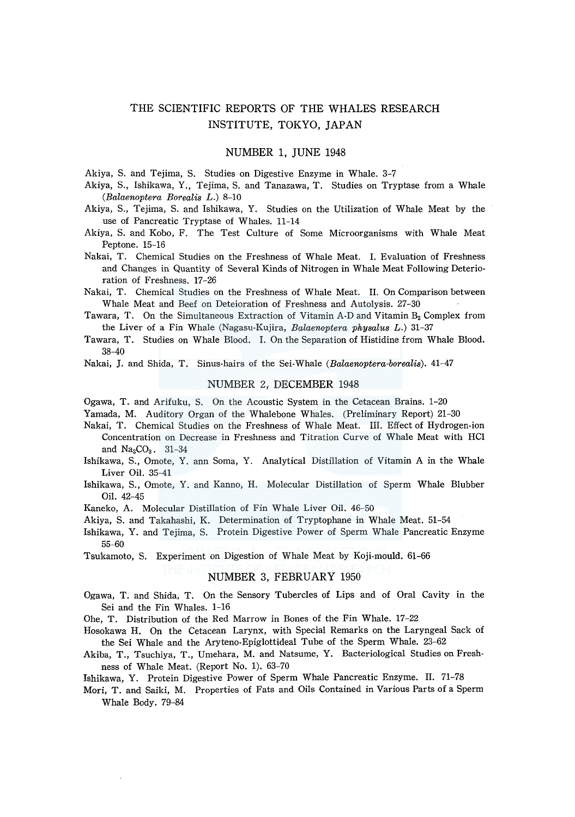# THE SCIENTIFIC REPORTS OF THE WHALES RESEARCH INSTITUTE, TOKYO, JAPAN

## NUMBER 1, JUNE 1948

Akiya, S. and Tejima, S. Studies on Digestive Enzyme in Whale. 3-7

- Akiya, S., Ishikawa, Y., Tejima, S. and Tanazawa, T. Studies on Tryptase from a Whale *(Balaenoptera Borealis L.)* 8-10
- Akiya, S., Tejima, S. and Ishikawa, Y. Studies on the Utilization of Whale Meat by the use of Pancreatic Tryptase of Whales. 11-14
- Akiya, S. and Kobo, F. The Test Culture of Some Microorganisms with Whale Meat Peptone. 15-16
- Nakai, T. Chemical Studies on the Freshness of Whale Meat. I. Evaluation of Freshness and Changes in Quantity of Several Kinds of Nitrogen in Whale Meat Following Deterioration of Freshness. 17-26
- Nakai, T. Chemical Studies on the Freshness of Whale Meat. II. On Comparison between Whale Meat and Beef on Deteioration of Freshness and Autolysis. 27-30
- Tawara, T. On the Simultaneous Extraction of Vitamin A-D and Vitamin  $B_2$  Complex from the Liver of a Fin Whale (Nagasu-Kujira, *Balaenoptera physalus L.)* 31-37
- Tawara, T. Studies on Whale Blood. I. On the Separation of Histidine from Whale Blood. 38-40
- Nakai, J. and Shida, T. Sinus-hairs of the Sei-Whale *(Balaenoptera-borealis).* 41-47

#### NUMBER 2; DECEMBER 1948

- Ogawa, T. and Arifuku, S. On the Acoustic System in the Cetacean Brains. 1-20
- Yamada, M. Auditory Organ of the Whalebone Whales. (Preliminary Report) 21-30
- Nakai, T. Chemical Studies on the Freshness of Whale Meat. III. Effect of Hydrogen-ion Concentration on Decrease in Freshness and Titration Curve of Whale Meat with HCl and  $Na_2CO_3$ . 31-34
- Ishikawa, S., Omote, Y. ann Soma, Y. Analytical Distillation of Vitamin A in the Whale Liver Oil. 35-41
- Ishikawa, S., Omote, Y. and Kanno, H. Molecular Distillation of Sperm Whale Blubber Oil. 42-45
- Kaneko, A. Molecular Distillation of Fin Whale Liver Oil. 46-50
- Akiya, S. and Takahashi, K. Determination of Tryptophane in Whale Meat. 51-54
- Ishikawa, Y. and Tejima, S. Protein Digestive Power of Sperm Whale Pancreatic Enzyme 55-60

Tsukamoto, S. Experiment on Digestion of Whale Meat by Koji-mould. 61-66

#### NUMBER 3, FEBRUARY 1950

- Ogawa, T. and Shida, T. On the Sensory Tubercles of Lips and of Oral Cavity in the Sei and the Fin Whales. 1-16
- Ohe, T. Distribution of the Red Marrow in Bones of the Fin Whale. 17-22
- Hosokawa H. On the Cetacean Larynx, with Special Remarks on the Laryngeal Sack of the Sei Whale and the Aryteno-Epiglottideal Tube of the Sperm Whale. 23-62
- Akiba, T., Tsuchiya, T., Umehara, M. and Natsume, Y. Bacteriological Studies on Freshness of Whale Meat. (Report No. 1). 63-70
- Ishikawa, Y. Protein Digestive Power of Sperm Whale Pancreatic Enzyme. II. 71-78
- Mori, T. and Saiki, M. Properties of Fats and Oils Contained in Various Parts of a Sperm Whale Body. 79-84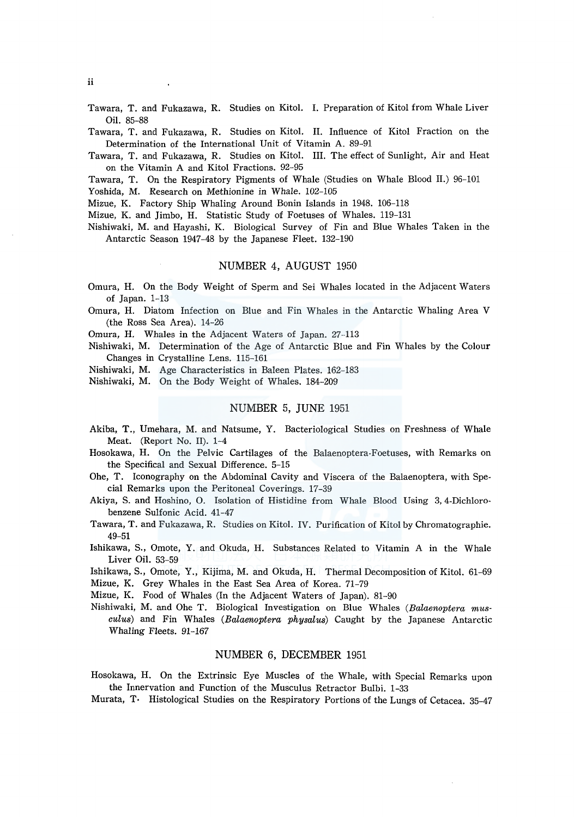Tawara, T. and Fukazawa, R. Studies on Kitol. I. Preparation of Kitol from Whale Liver Oil. 85-88

Tawara, T. and Fukazawa, R. Studies on Kitol. II. Influence of Kitol Fraction on the Determination of the International Unit of Vitamin A. 89-91

Tawara, T. and Fukazawa, R. Studies on Kitol. III. The effect of Sunlight, Air and Heat on the Vitamin A and Kitol Fractions. 92-95

Tawara, T. On the Respiratory Pigments of Whale (Studies on Whale Blood II.) 96-101

Yoshida, M. Research on Methionine in Whale. 102-105

Mizue, K. Factory Ship Whaling Around Bonin Islands in 1948. 106-118

Mizue, K. and Jimbo, H. Statistic Study of Foetuses of Whales. 119-131

Nishiwaki, M. and Hayashi, K. Biological Survey of Fin and Blue Whales Taken in the Antarctic Season 1947-48 by the Japanese Fleet. 132-190

## NUMBER 4, AUGUST 1950

Omura, H. On the Body Weight of Sperm and Sei Whales located in the Adjacent Waters of Japan. 1-13

Omura, H. Diatom Infection on Blue and Fin Whales in the Antarctic Whaling Area V (the Ross Sea Area). 14-26

Omura, H. Whales in the Adjacent Waters of Japan. 27-113

Nishiwaki, M. Determination of the Age of Antarctic Blue and Fin Whales by the Colour Changes in Crystalline Lens. 115-161

Nishiwaki, M. Age Characteristics in Baleen Plates. 162-183

Nishiwaki, M. On the Body Weight of Whales. 184-209

## NUMBER 5, JUNE 1951

- Akiba, T., Umehara, M. and Natsume, Y. Bacteriological Studies on Freshness of Whale Meat. (Report No. II). 1-4
- Hosokawa, H. On the Pelvic Cartilages of the Balaenoptera-Foetuses, with Remarks on the Specifical and Sexual Difference. 5-15
- Ohe, T. Iconography on the Abdominal Cavity and Viscera of the Balaenoptera, with Special Remarks upon the Peritoneal Coverings. 17-39

Akiya, S. and Hoshino, 0. Isolation of Histidine from Whale Blood Using 3, 4-Dichlorobenzene Sulfonic Acid. 41-47

Tawara, T. and Fukazawa, R. Studies on Kitol. IV. Purification of Kitol by Chromatographie. 49-51

Ishikawa, S., Omote, Y. and Okuda, H. Substances Related to Vitamin A in the Whale Liver Oil. 53-59

Ishikawa, S., Omote, Y., Kijima, M. and Okuda, H. Thermal Decomposition of Kitol. 61-69 Mizue, K. Grey Whales in the East Sea Area of Korea. 71-79

Mizue, K. Food of Whales (In the Adjacent Waters of Japan). 81-90

Nishiwaki, M. and Ohe T. Biological Investigation on Blue Whales (Balaenoptera musculus) and Fin Whales (Balaenoptera physalus) Caught by the Japanese Antarctic Whaling Fleets. 91-167

## NUMBER 6, DECEMBER 1951

Hosokawa, H. On the Extrinsic Eye Muscles of the Whale, with Special Remarks upon the Innervation and Function of the Musculus Retractor Bulbi. 1-33

Murata, T· Histological Studies on the Respiratory Portions of the Lungs of Cetacea. 35-47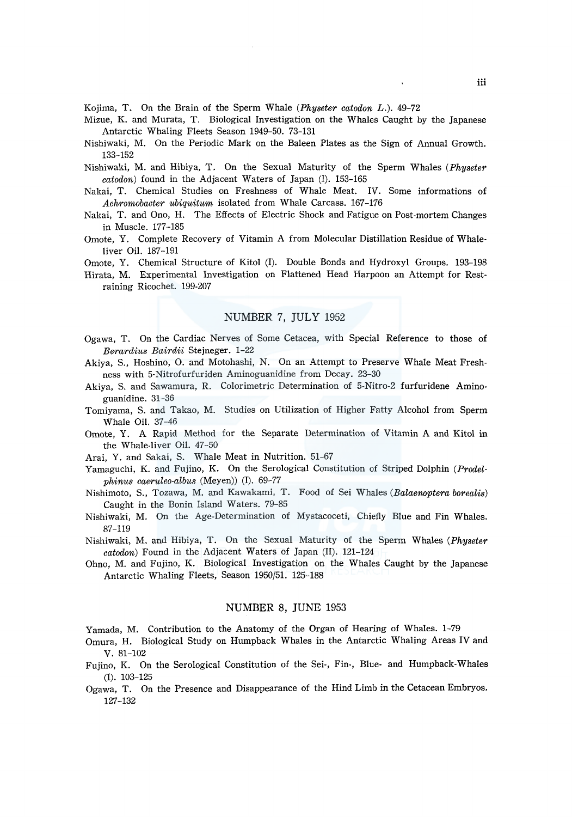Kojima, T. On the Brain of the Sperm Whale *(Physeter catodon L.).* 49-72

- Mizue, K. and Murata, T. Biological Investigation on the Whales Caught by the Japanese Antarctic Whaling Fleets Season 1949-50. 73-131
- Nishiwaki, M. On the Periodic Mark on the Baleen Plates as the Sign of Annual Growth. 133-152
- Nishiwaki, M. and Hibiya, T. On the Sexual Maturity of the Sperm Whales *(Physeter catodon)* found in the Adjacent Waters of Japan (I). 153-165
- Nakai, T. Chemical Studies on Freshness of Whale Meat. IV. Some informations of *Achromobacter ubiquitum* isolated from Whale Carcass. 167-176
- Nakai, T. and Ono, H. The Effects of Electric Shock and Fatigue on Post-mortem Changes in Muscle. 177-185
- Omote, Y. Complete Recovery of Vitamin A from Molecular Distillation Residue of Whaleliver Oil. 187-191
- Omote, Y. Chemical Structure of Kitol (I). Double Bonds and Hydroxyl Groups. 193-198
- Hirata, M. Experimental Investigation on Flattened Head Harpoon an Attempt for Restraining Ricochet. 199-207

## NUMBER 7, JULY 1952

- Ogawa, T. On the Cardiac Nerves of Some Cetacea, with Special Reference to those of *Berardius Bairdii* Stejneger. 1-22
- Akiya, S., Hoshino, 0. and Motohashi, N. On an Attempt to Preserve Whale Meat Freshness with 5-Nitrofurfuriden Aminoguanidine from Decay. 23-30
- Akiya, S. and Sawamura, R. Colorimetric Determination of 5-Nitro-2 furfuridene Aminoguanidine. 31-36
- Tomiyama, S. and Takao, M. Studies on Utilization of Higher Fatty Alcohol from Sperm Whale Oil. 37-46
- Omote, Y. A Rapid Method for the Separate Determination of Vitamin A and Kitol in the Whale-liver Oil. 47-50
- Arai, Y. and Sakai, S. Whale Meat in Nutrition. 51-67
- Yamaguchi, K. and Fujino, K. On the Serological Constitution of Striped Dolphin *(Prodelphinus caeruleo-albus* (Meyen)) (I). 69-77
- Nishimoto, S., Tozawa, M. and Kawakami, T. Food of Sei Whales *(Balaenoptera borealis)*  Caught in the Bonin Island Waters. 79-85
- Nishiwaki, M. On the Age-Determination of Mystacoceti, Chiefly Blue and Fin Whales. 87-119
- Nishiwaki, M. and Hibiya, T. On the Sexual Maturity of the Sperm Whales *(Physeter catodon)* Found in the Adjacent Waters of Japan (II). 121-124
- Ohno, M. and Fujino, K. Biological Investigation on the Whales Caught by the Japanese Antarctic Whaling Fleets, Season 1950/51. 125-188

#### NUMBER 8, JUNE 1953

Yamada, M. Contribution to the Anatomy of the Organ of Hearing of Whales. 1-79

- Omura, H. Biological Study on Humpback Whales in the Antarctic Whaling Areas IV and v. 81-102
- Fujino, K. On the Serological Constitution of the Sei-, Fin-, Blue- and Humpback-Whales (I). 103-125
- Ogawa, T. On the Presence and Disappearance of the Hind Limb in the Cetacean Embryos. 127-132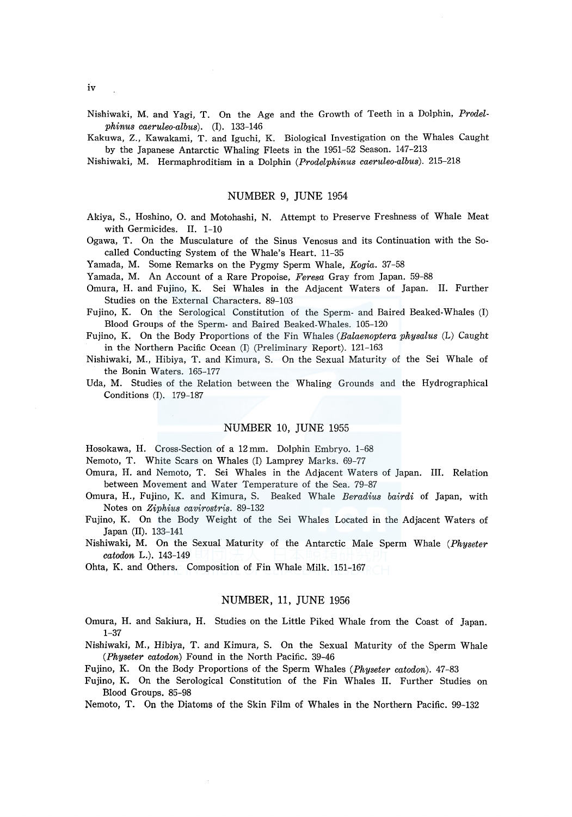Nishiwaki, M. and Yagi, T. On the Age and the Growth of Teeth in a Dolphin, *Prodelphinus caeruleo-albus).* (I). 133-146

Kakuwa, Z., Kawakami, T. and Iguchi, K. Biological Investigation on the Whales Caught by the Japanese Antarctic Whaling Fleets in the 1951-52 Season. 147-213

Nishiwaki, M. Hermaphroditism in a Dolphin *(Prodelphinus caeruleo-albus).* 215-218

## NUMBER 9, JUNE 1954

Akiya, S., Hoshino, 0. and Motohashi, N. Attempt to Preserve Freshness of Whale Meat with Germicides. II. 1-10

Ogawa, T. On the Musculature of the Sinus Venosus and its Continuation with the Socalled Conducting System of the Whale's Heart. 11-35

Yamada, M. Some Remarks on the Pygmy Sperm Whale, *Kogia.* 37-58

Yamada, M. An Account of a Rare Propoise, *Feresa* Gray from Japan. 59-88

Omura, H. and Fujino, K. Sei Whales in the Adjacent Waters of Japan. II. Further Studies on the External Characters. 89-103

Fujino, K. On the Serological Constitution of the Sperm- and Baired Beaked-Whales (I) Blood Groups of the Sperm- and Baired Beaked-Whales. 105-120

Fujino, K. On the Body Proportions of the Fin Whales *(Balaenoptera physalus* (L) Caught in the Northern Pacific Ocean (I) (Preliminary Report). 121-163

Nishiwaki, M., Hibiya, T. and Kimura, S. On the Sexual Maturity of the Sei Whale of the Bonin Waters. 165-177

Uda, M. Studies of the Relation between the Whaling Grounds and the Hydrographical Conditions (I). 179-187

## NUMBER 10, JUNE 1955

Hosokawa, H. Cross-Section of a 12 mm. Dolphin Embryo. 1-68

Nemoto, T. White Scars on Whales (I) Lamprey Marks. 69-77

Omura, H. and Nemoto, T. Sei Whales in the Adjacent Waters of Japan. III. Relation between Movement and Water Temperature of the Sea. 79-87

- Omura, H., Fujino, K. and Kimura, S. Beaked Whale *Beradius bairdi* of Japan, with Notes on *Ziphius cavirostris.* 89-132
- Fujino, K. On the Body Weight of the Sei Whales Located in the Adjacent Waters of Japan (II). 133-141
- Nishiwaki, M. On the Sexual Maturity of the Antarctic Male Sperm Whale *(Physeter catodon* L.). 143-149

Ohta, K. and Others. Composition of Fin Whale Milk. 151-167

## NUMBER, 11, JUNE 1956

Omura, H. and Sakiura, H. Studies on the Little Piked Whale from the Coast of Japan. 1-37

Nishiwaki, M., Hibiya, T. and Kimura, S. On the Sexual Maturity of the Sperm Whale *(Physeter catodon)* Found in the North Pacific. 39-46

Fujino, K. On the Body Proportions of the Sperm Whales *(Physeter catodon).* 47-83

Fujino, K. On the Serological Constitution of the Fin Whales II. Further Studies on Blood Groups. 85-98

Nemoto, T. On the Diatoms of the Skin Film of Whales in the Northern Pacific. 99-132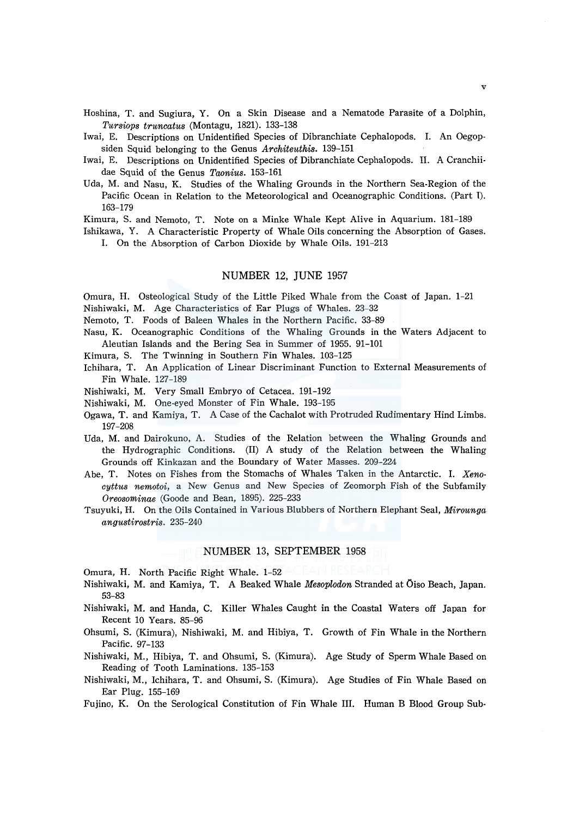Hoshina, T. and Sugiura, Y. On a Skin Disease and a Nematode Parasite of a Dolphin, *Tursiops truncatus* (Montagu, 1821). 133-138

- Iwai, E. Descriptions on Unidentified Species of Dibranchiate Cephalopods. I. An Oegopsiden Squid belonging to the Genus *Architeuthis.* 139-151
- Iwai, E. Descriptions on Unidentified Species of Dibranchiate Cephalopods. II. A Cranchiidae Squid of the Genus *Taonius.* 153-161
- Uda, M. and Nasu, K. Studies of the Whaling Grounds in the Northern Sea-Region of the Pacific Ocean in Relation to the Meteorological and Oceanographic Conditions. (Part l). 163-179

Kimura, S. and Nemoto, T. Note on a Minke Whale Kept Alive in Aquarium. 181-189

Ishikawa, Y. A Characteristic Property of Whale Oils concerning the Absorption of Gases.

I. On the Absorption of Carbon Dioxide by Whale Oils. 191-213

## NUMBER 12, JUNE 1957

Omura, H. Osteological Study of the Little Piked Whale from the Coast of Japan. 1-21 Nishiwaki, M. Age Characteristics of Ear Plugs of Whales. 23-32

- Nemoto, T. Foods of Baleen Whales in the Northern Pacific. 33-89
- Nasu, K. Oceanographic Conditions of the Whaling Grounds in the Waters Adjacent to Aleutian Islands and the Bering Sea in Summer of 1955. 91-101
- Kimura, S. The Twinning in Southern Fin Whales. 103-125
- Ichihara, T. An Application of Linear Discriminant Function to External Measurements of Fin Whale. 127-189
- Nishiwaki, M. Very Small Embryo of Cetacea. 191-192

Nishiwaki, M. One-eyed Monster of Fin Whale. 193-195

- Ogawa, T. and Kamiya, T. A Case of the Cachalot with Protruded Rudimentary Hind Limbs. 197-208
- Uda, M. and Dairokuno, A. Studies of the Relation between the Whaling Grounds and the Hydrographic Conditions. (II) A study of the Relation between the Whaling Grounds off Kinkazan and the Boundary of Water Masses. 209-224
- Abe, T. Notes on Fishes from the Stomachs of Whales Taken in the Antarctic. I. *Xenocyttus nemotoi,* a New Genus and New Species of Zeomorph Fish of the Subfamily *Oreosominae* (Goode and Bean, 1895). 225-233
- Tsuyuki, H. On the Oils Contained in Various Blubbers of Northern Elephant Seal, *Mirounga angustirostris.* 235-240

## NUMBER 13, SEPTEMBER 1958

Omura, H. North Pacific Right Whale. 1-52

- Nishiwaki, M. and Kamiya, T. A Beaked Whale *Mesoplodon* Stranded at Oiso Beach, Japan. 53-83
- Nishiwaki, M. and Randa, C. Killer Whales Caught in the Coastal Waters off Japan for Recent 10 Years. 85-96
- Ohsumi, S. (Kimura), Nishiwaki, M. and Hibiya, T. Growth of Fin Whale in the Northern Pacific. 97-133
- Nishiwaki, M., Hibiya, T. and Ohsumi, S. (Kimura). Age Study of Sperm Whale Based on Reading of Tooth Laminations. 135-153
- Nishiwaki, M., Ichihara, T. and Ohsumi, S. (Kimura). Age Studies of Fin Whale Based on Ear Plug. 155-169

Fujino, K. On the Serological Constitution of Fin Whale III. Human B Blood Group Sub-